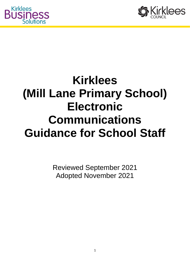



# **Kirklees (Mill Lane Primary School) Electronic Communications Guidance for School Staff**

Reviewed September 2021 Adopted November 2021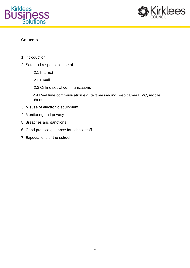



## **Contents**

- 1. Introduction
- 2. Safe and responsible use of:
	- 2.1 Internet
	- 2.2 Email
	- 2.3 Online social communications

2.4 Real time communication e.g. text messaging, web camera, VC, mobile phone

- 3. Misuse of electronic equipment
- 4. Monitoring and privacy
- 5. Breaches and sanctions
- 6. Good practice guidance for school staff
- 7. Expectations of the school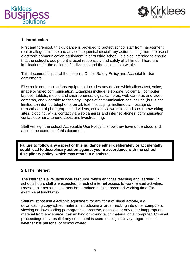



### **1. Introduction**

First and foremost, this guidance is provided to protect school staff from harassment, real or alleged misuse and any consequential disciplinary action arising from the use of electronic communication equipment in or outside school. It is also intended to ensure that the school's equipment is used responsibly and safely at all times. There are implications for the actions of individuals and the school as a whole.

This document is part of the school's Online Safety Policy and Acceptable Use agreements.

Electronic communications equipment includes any device which allows text, voice, image or video communication. Examples include telephone, voicemail, computer, laptops, tablets, mobile and smart phones, digital cameras, web cameras and video cameras, and wearable technology. Types of communication can include (but is not limited to) internet, telephone, email, text messaging, multimedia messaging, transmission of photographs and videos, contact via websites and social networking sites, blogging, wikis, contact via web cameras and internet phones, communication via tablet or smartphone apps, and livestreaming.

Staff will sign the school Acceptable Use Policy to show they have understood and accept the contents of this document.

**2. Safe and Responsible use Failure to follow any aspect of this guidance either deliberately or accidentally could lead to disciplinary action against you in accordance with the school disciplinary policy, which may result in dismissal.** 

### **2.1 The internet**

The internet is a valuable work resource, which enriches teaching and learning. In schools hours staff are expected to restrict internet access to work related activities. Reasonable personal use may be permitted outside recorded working time (for example at lunchtime).

Staff must not use electronic equipment for any form of illegal activity, e.g. downloading copyrighted material, introducing a virus, hacking into other computers, viewing or downloading pornographic, obscene, offensive or any other inappropriate material from any source, transmitting or storing such material on a computer. Criminal proceedings may result if any equipment is used for illegal activity, regardless of whether it is personal or school owned.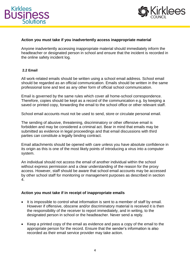



### **Action you must take if you inadvertently access inappropriate material**

Anyone inadvertently accessing inappropriate material should immediately inform the headteacher or designated person in school and ensure that the incident is recorded in the online safety incident log.

#### **2.2 Email**

All work-related emails should be written using a school email address. School email should be regarded as an official communication. Emails should be written in the same professional tone and text as any other form of official school communication.

Email is governed by the same rules which cover all home-school correspondence. Therefore, copies should be kept as a record of the communication e.g. by keeping a saved or printed copy, forwarding the email to the school office or other relevant staff.

School email accounts must not be used to send, store or circulate personal email.

The sending of abusive, threatening, discriminatory or other offensive email is forbidden and may be considered a criminal act. Bear in mind that emails may be submitted as evidence in legal proceedings and that email discussions with third parties can constitute a legally binding contract.

Email attachments should be opened with care unless you have absolute confidence in its origin as this is one of the most likely points of introducing a virus into a computer system.

An individual should not access the email of another individual within the school without express permission and a clear understanding of the reason for the proxy access. However, staff should be aware that school email accounts may be accessed by other school staff for monitoring or management purposes as described in section 4.

#### **Action you must take if in receipt of inappropriate emails**

- It is impossible to control what information is sent to a member of staff by email. However if offensive, obscene and/or discriminatory material is received it is then the responsibility of the receiver to report immediately, and in writing, to the designated person in school or the headteacher. Never send a reply.
- Keep a printed copy of the email as evidence and pass a copy of the email to the appropriate person for the record. Ensure that the sender's information is also recorded as their email service provider may take action.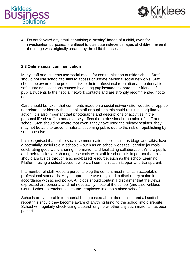



 Do not forward any email containing a 'sexting' image of a child, even for investigation purposes. It is illegal to distribute indecent images of children, even if the image was originally created by the child themselves.

#### **2.3 Online social communication**

Many staff and students use social media for communication outside school. Staff should not use school facilities to access or update personal social networks. Staff should be aware of the potential risk to their professional reputation and potential for safeguarding allegations caused by adding pupils/students, parents or friends of pupils/students to their social network contacts and are strongly recommended not to do so.

Care should be taken that comments made on a social network site, website or app do not relate to or identify the school, staff or pupils as this could result in disciplinary action. It is also important that photographs and descriptions of activities in the personal life of staff do not adversely affect the professional reputation of staff or the school. Staff should be aware that even if they have used the privacy settings, they may not be able to prevent material becoming public due to the risk of republishing by someone else.

It is recognised that online social communications tools, such as blogs and wikis, have a potentially useful role in schools – such as on school websites, learning journals, celebrating good work, sharing information and facilitating collaboration. Where pupils and their families are sharing these tools with staff in school it is important that this should always be through a school-based resource, such as the school Learning Platform, using a school account where all communication is open and transparent.

If a member of staff keeps a personal blog the content must maintain acceptable professional standards. Any inappropriate use may lead to disciplinary action in accordance with school policy. All blogs should contain a disclaimer that the views expressed are personal and not necessarily those of the school (and also Kirklees Council where a teacher is a council employee in a maintained school).

Schools are vulnerable to material being posted about them online and all staff should report this should they become aware of anything bringing the school into disrepute. School will regularly check using a search engine whether any such material has been posted.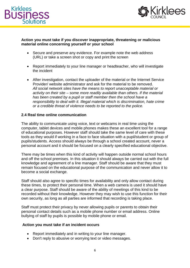



### **Action you must take if you discover inappropriate, threatening or malicious material online concerning yourself or your school**

- Secure and preserve any evidence. For example note the web address (URL) or take a screen shot or copy and print the screen
- Report immediately to your line manager or headteacher, who will investigate the incident
- After investigation, contact the uploader of the material or the Internet Service Provider/ website administrator and ask for the material to be removed. *All social network sites have the means to report unacceptable material or activity on their site – some more readily available than others. If the material has been created by a pupil or staff member then the school have a responsibility to deal with it. Illegal material which is discrimination, hate crime or a credible threat of violence needs to be reported to the police.*

### **2.4 Real time online communication**

The ability to communicate using voice, text or webcams in real time using the computer, tablet devices and mobile phones makes these an excellent tool for a range of educational purposes. However staff should take the same level of care with these tools as they would if working in a face to face situation with a pupil/student or group of pupils/students. Access should always be through a school created account, never a personal account and it should be focused on a clearly specified educational objective.

There may be times when this kind of activity will happen outside normal school hours and off the school premises. In this situation it should always be carried out with the full knowledge and agreement of a line manager. Staff should be aware that they must remain focused on the educational purpose of the communication and never allow it to become a social exchange.

Staff should also agree to specific times for availability and only allow contact during these times, to protect their personal time. When a web camera is used it should have a clear purpose. Staff should be aware of the ability of meetings of this kind to be recorded without their knowledge. However they may wish to use this function for their own security, as long as all parties are informed that recording is taking place.

Staff must protect their privacy by never allowing pupils or parents to obtain their personal contact details such as a mobile phone number or email address. Online bullying of staff by pupils is possible by mobile phone or email.

#### **Action you must take if an incident occurs**

- Report immediately and in writing to your line manager.
- Don't reply to abusive or worrying text or video messages.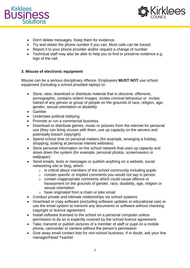



- Don't delete messages. Keep them for evidence.
- Try and obtain the phone number if you can. Most calls can be traced.
- Report it to your phone provider and/or request a change of number
- Technical staff may also be able to help you to find or preserve evidence e.g. logs of the call.

## **3. Misuse of electronic equipment**

Misuse can be a serious disciplinary offence. Employees **MUST NOT** use school equipment (including a school provided laptop) to:

- Store, view, download or distribute material that is obscene, offensive, pornographic, contains violent images, incites criminal behaviour or incites hatred of any person or group of people on the grounds of race, religion, age, gender, sexual orientation or disability
- Gamble
- Undertake political lobbying
- Promote or run a commercial business
- Download or distribute games, music or pictures from the internet for personal use (they can bring viruses with them, use up capacity on the servers and potentially breach copyright)
- Spend school time on personal matters (for example, arranging a holiday, shopping, looking at personal interest websites)
- Store personal information on the school network that uses up capacity and slows down the system (for example, personal photos, screensavers or wallpaper)
- Send emails, texts or messages or publish anything on a website, social networking site or blog, which:
	- $\circ$  is critical about members of the school community including pupils
	- o contain specific or implied comments you would not say in person
	- o contain inappropriate comments which could cause offence or harassment on the grounds of gender, race, disability, age, religion or sexual orientation
	- o have originated from a chain or joke email
- Conduct private and intimate relationships via school systems
- Download or copy software (excluding software updates or educational use) or use the email system to transmit any documents or software without checking copyright or licence agreement
- Install software licensed to the school on a personal computer unless permission to do so is explicitly covered by the school licence agreement.
- Take, transmit or publish pictures of a member of staff or pupil on a mobile phone, camcorder or camera without the person's permission
- Give away email contact lists for non-school business. If in doubt, ask your line manager/Head Teacher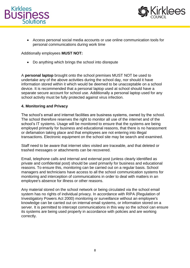



 Access personal social media accounts or use online communication tools for personal communications during work time

Additionally employees **MUST NOT:**

Do anything which brings the school into disrepute

A **personal laptop** brought onto the school premises MUST NOT be used to undertake any of the above activities during the school day, nor should it have information stored within it which would be deemed to be unacceptable on a school device. It is recommended that a personal laptop used at school should have a separate secure account for school use. Additionally a personal laptop used for any school activity must be fully protected against virus infection.

## **4. Monitoring and Privacy**

The school's email and internet facilities are business systems, owned by the school. The school therefore reserves the right to monitor all use of the internet and of the school's IT systems. Usage will be monitored to ensure that the systems are being employed primarily for business and educational reasons, that there is no harassment or defamation taking place and that employees are not entering into illegal transactions. Electronic equipment on the school site may be search and examined.

Staff need to be aware that internet sites visited are traceable, and that deleted or trashed messages or attachments can be recovered.

Email, telephone calls and internal and external post (unless clearly identified as private and confidential post) should be used primarily for business and educational reasons. To ensure this, monitoring can be carried out on a regular basis. School managers and technicians have access to all the school communication systems for monitoring and interception of communications in order to deal with matters in an employee's absence for illness or other reasons.

Any material stored on the school network or being circulated via the school email system has no rights of individual privacy. In accordance with RIPA (Regulation of Investigatory Powers Act 2000) monitoring or surveillance without an employee's knowledge can be carried out on internal email systems, or information stored on a server. It is permitted to intercept communications in this way so the school can ensure its systems are being used properly in accordance with policies and are working correctly.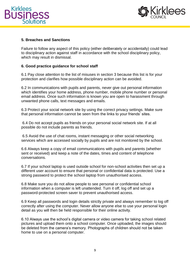



### **5. Breaches and Sanctions**

Failure to follow any aspect of this policy (either deliberately or accidentally) could lead to disciplinary action against staff in accordance with the school disciplinary policy, which may result in dismissal.

### **6. Good practice guidance for school staff**

6.1 Pay close attention to the list of misuses in section 3 because this list is for your protection and clarifies how possible disciplinary action can be avoided.

6.2 In communications with pupils and parents, never give out personal information which identifies your home address, phone number, mobile phone number or personal email address. Once such information is known you are open to harassment through unwanted phone calls, text messages and emails.

6.3 Protect your social network site by using the correct privacy settings. Make sure that personal information cannot be seen from the links to your friends' sites.

6.4 Do not accept pupils as friends on your personal social network site. If at all possible do not include parents as friends.

6.5 Avoid the use of chat rooms, instant messaging or other social networking services which are accessed socially by pupils and are not monitored by the school.

6.6 Always keep a copy of email communications with pupils and parents (whether sent or received) and keep a note of the dates, times and content of telephone conversations.

6.7 If your school laptop is used outside school for non-school activities then set up a different user account to ensure that personal or confidential data is protected. Use a strong password to protect the school laptop from unauthorised access.

6.8 Make sure you do not allow people to see personal or confidential school information when a computer is left unattended. Turn it off, log off and set up a password-protected screen saver to prevent unauthorised access.

6.9 Keep all passwords and login details strictly private and always remember to log off correctly after using the computer. Never allow anyone else to use your personal login detail as you will then be held responsible for their online activity.

6.10 Always use the school's digital camera or video camera for taking school related pictures and upload them onto a school computer. Once uploaded, the images should be deleted from the camera's memory. Photographs of children should not be taken home to use on a personal computer.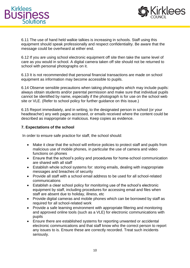



6.11 The use of hand held walkie talkies is increasing in schools. Staff using this equipment should speak professionally and respect confidentiality. Be aware that the message could be overheard at either end.

6.12 If you are using school electronic equipment off site then take the same level of care as you would in school. A digital camera taken off site should not be returned to school with personal photographs on it.

6.13 It is not recommended that personal financial transactions are made on school equipment as information may become accessible to pupils.

6.14 Observe sensible precautions when taking photographs which may include pupils: always obtain students and/or parental permission and make sure that individual pupils cannot be identified by name, especially if the photograph is for use on the school web site or VLE. (Refer to school policy for further guidance on this issue.)

6.15 Report immediately, and in writing, to the designated person in school (or your headteacher) any web pages accessed, or emails received where the content could be described as inappropriate or malicious. Keep copies as evidence.

### **7. Expectations of the school**

In order to ensure safe practice for staff, the school should:

- Make it clear that the school will enforce policies to protect staff and pupils from malicious use of mobile phones, in particular the use of camera and video functions on phones
- Ensure that the school's policy and procedures for home-school communication are shared with all staff
- Establish whole school systems for: storing emails, dealing with inappropriate messages and breaches of security
- Provide all staff with a school email address to be used for all school-related communications
- Establish a clear school policy for monitoring use of the school's electronic equipment by staff, including procedures for accessing email and files when staff are absent due to holiday, illness, etc
- Provide digital cameras and mobile phones which can be borrowed by staff as required for all school-related work
- Provide a safe learning environment with appropriate filtering and monitoring and approved online tools (such as a VLE) for electronic communications with pupils
- Ensure there are established systems for reporting unwanted or accidental electronic communications and that staff know who the correct person to report any issues to is. Ensure these are correctly recorded. Treat such incidents seriously.